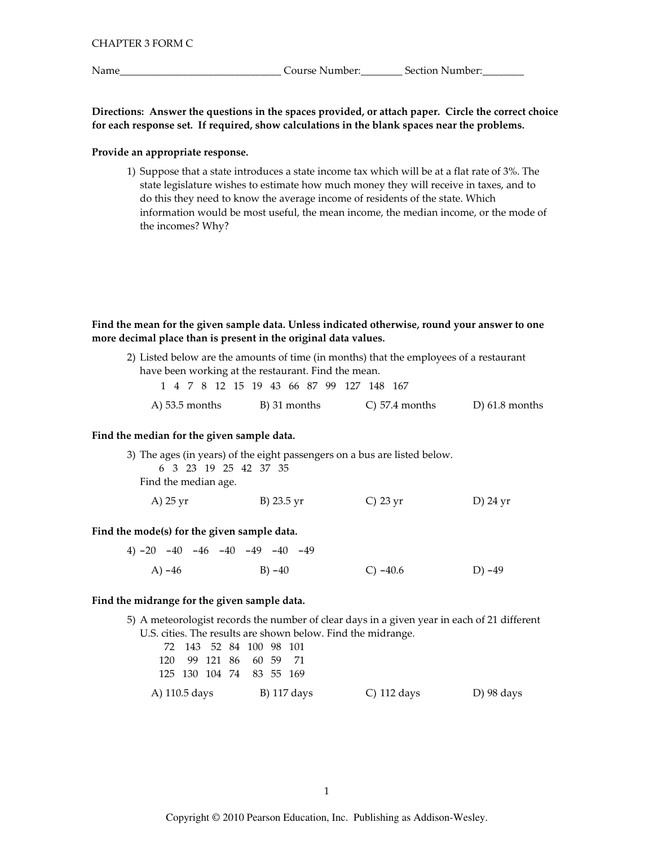Name

Course Number: Section Number:

Directions: Answer the questions in the spaces provided, or attach paper. Circle the correct choice for each response set. If required, show calculations in the blank spaces near the problems.

## Provide an appropriate response.

1) Suppose that a state introduces a state income tax which will be at a flat rate of 3%. The state legislature wishes to estimate how much money they will receive in taxes, and to do this they need to know the average income of residents of the state. Which information would be most useful, the mean income, the median income, or the mode of the incomes? Why?

# Find the mean for the given sample data. Unless indicated otherwise, round your answer to one more decimal place than is present in the original data values.

2) Listed below are the amounts of time (in months) that the employees of a restaurant have been working at the restaurant. Find the mean.

|                  |  |  |  |              |  | 1 4 7 8 12 15 19 43 66 87 99 127 148 167 |                     |                  |  |
|------------------|--|--|--|--------------|--|------------------------------------------|---------------------|------------------|--|
| A) $53.5$ months |  |  |  | B) 31 months |  |                                          | $\circ$ 57.4 months | D) $61.8$ months |  |

#### Find the median for the given sample data.

|                      |  |                       |  |            | 3) The ages (in years) of the eight passengers on a bus are listed below. |          |
|----------------------|--|-----------------------|--|------------|---------------------------------------------------------------------------|----------|
|                      |  | 6 3 23 19 25 42 37 35 |  |            |                                                                           |          |
| Find the median age. |  |                       |  |            |                                                                           |          |
| A) 25 yr             |  |                       |  | B) 23.5 yr | C) $23 \text{ yr}$                                                        | D) 24 yr |

# Find the mode(s) for the given sample data.

4)  $-20$   $-40$   $-46$   $-40$   $-49$   $-40$   $-49$  $(A) -46$  $C) -40.6$  $D) -49$  $B) - 40$ 

### Find the midrange for the given sample data.

5) A meteorologist records the number of clear days in a given year in each of 21 different U.S. cities. The results are shown below. Find the midrange.

|               | 72 143 52 84 100 98 101  |  |  |             |             |  |            |
|---------------|--------------------------|--|--|-------------|-------------|--|------------|
|               | 120 99 121 86 60 59 71   |  |  |             |             |  |            |
|               | 125 130 104 74 83 55 169 |  |  |             |             |  |            |
| A) 110.5 days |                          |  |  | B) 117 days | C) 112 days |  | D) 98 days |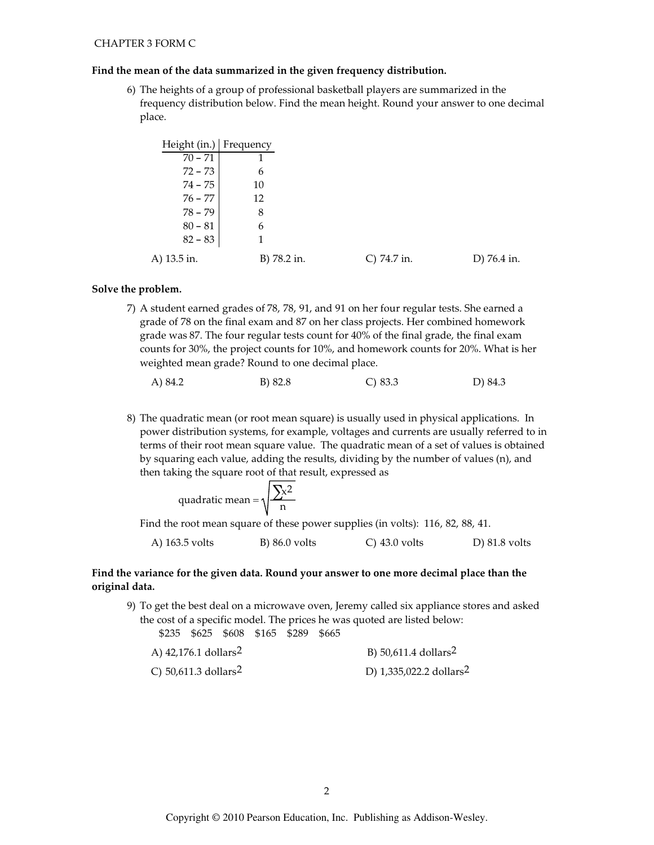## Find the mean of the data summarized in the given frequency distribution.

6) The heights of a group of professional basketball players are summarized in the frequency distribution below. Find the mean height. Round your answer to one decimal place.

| Height (in.)   Frequency |             |             |             |
|--------------------------|-------------|-------------|-------------|
| $70 - 71$                |             |             |             |
| $72 - 73$                | 6           |             |             |
| $74 - 75$                | 10          |             |             |
| $76 - 77$                | 12          |             |             |
| $78 - 79$                | 8           |             |             |
| $80 - 81$                | 6           |             |             |
| $82 - 83$                |             |             |             |
| A) 13.5 in.              | B) 78.2 in. | C) 74.7 in. | D) 76.4 in. |

### Solve the problem.

7) A student earned grades of 78, 78, 91, and 91 on her four regular tests. She earned a grade of 78 on the final exam and 87 on her class projects. Her combined homework grade was 87. The four regular tests count for 40% of the final grade, the final exam counts for 30%, the project counts for 10%, and homework counts for 20%. What is her weighted mean grade? Round to one decimal place.

8) The quadratic mean (or root mean square) is usually used in physical applications. In power distribution systems, for example, voltages and currents are usually referred to in terms of their root mean square value. The quadratic mean of a set of values is obtained by squaring each value, adding the results, dividing by the number of values (n), and then taking the square root of that result, expressed as

quadratic mean = 
$$
\sqrt{\frac{\sum x^2}{n}}
$$

Find the root mean square of these power supplies (in volts): 116, 82, 88, 41.

| A) 163.5 volts | B) 86.0 volts | $\circ$ 43.0 volts | D $\left(81.8\right)$ volts |
|----------------|---------------|--------------------|-----------------------------|
|----------------|---------------|--------------------|-----------------------------|

# Find the variance for the given data. Round your answer to one more decimal place than the original data.

9) To get the best deal on a microwave oven, Jeremy called six appliance stores and asked the cost of a specific model. The prices he was quoted are listed below:

|  | \$235 \$625 \$608 \$165 \$289 \$665 |  |  |  |
|--|-------------------------------------|--|--|--|
|  |                                     |  |  |  |

| A) $42,176.1$ dollars <sup>2</sup> | B) 50,611.4 dollars <sup>2</sup>    |
|------------------------------------|-------------------------------------|
| C) $50,611.3$ dollars <sup>2</sup> | D) 1,335,022.2 dollars <sup>2</sup> |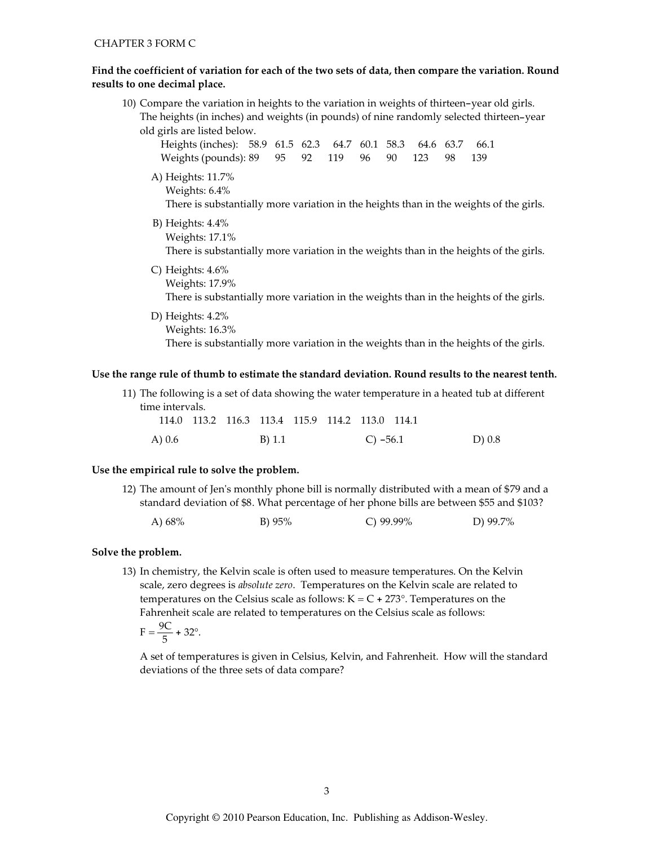# Find the coefficient of variation for each of the two sets of data, then compare the variation. Round results to one decimal place.

| 10) Compare the variation in heights to the variation in weights of thirteen-year old girls. |  |  |  |  |  |  |  |  |  |
|----------------------------------------------------------------------------------------------|--|--|--|--|--|--|--|--|--|
| The heights (in inches) and weights (in pounds) of nine randomly selected thirteen-year      |  |  |  |  |  |  |  |  |  |
| old girls are listed below.                                                                  |  |  |  |  |  |  |  |  |  |
| Heights (inches): 58.9 61.5 62.3<br>64.7 60.1 58.3<br>63.7<br>66.1<br>64.6                   |  |  |  |  |  |  |  |  |  |
| Weights (pounds): 89<br>95<br>92<br>119<br>90<br>123<br>139<br>96<br>98                      |  |  |  |  |  |  |  |  |  |
| A) Heights: 11.7%                                                                            |  |  |  |  |  |  |  |  |  |
| Weights: 6.4%                                                                                |  |  |  |  |  |  |  |  |  |
| There is substantially more variation in the heights than in the weights of the girls.       |  |  |  |  |  |  |  |  |  |
| B) Heights: $4.4\%$                                                                          |  |  |  |  |  |  |  |  |  |
| Weights: 17.1%                                                                               |  |  |  |  |  |  |  |  |  |
| There is substantially more variation in the weights than in the heights of the girls.       |  |  |  |  |  |  |  |  |  |
| C) Heights: $4.6\%$                                                                          |  |  |  |  |  |  |  |  |  |
| Weights: 17.9%                                                                               |  |  |  |  |  |  |  |  |  |
| There is substantially more variation in the weights than in the heights of the girls.       |  |  |  |  |  |  |  |  |  |
| D) Heights: $4.2\%$                                                                          |  |  |  |  |  |  |  |  |  |
| Weights: 16.3%                                                                               |  |  |  |  |  |  |  |  |  |

There is substantially more variation in the weights than in the heights of the girls.

# Use the range rule of thumb to estimate the standard deviation. Round results to the nearest tenth.

|                 |                                                 |        |  |            | 11) The following is a set of data showing the water temperature in a heated tub at different |  |
|-----------------|-------------------------------------------------|--------|--|------------|-----------------------------------------------------------------------------------------------|--|
| time intervals. |                                                 |        |  |            |                                                                                               |  |
|                 | 114.0 113.2 116.3 113.4 115.9 114.2 113.0 114.1 |        |  |            |                                                                                               |  |
| A) 0.6          |                                                 | B) 1.1 |  | C) $-56.1$ | $D)$ 0.8                                                                                      |  |

#### Use the empirical rule to solve the problem.

12) The amount of Jen's monthly phone bill is normally distributed with a mean of \$79 and a standard deviation of \$8. What percentage of her phone bills are between \$55 and \$103?

| A) 68% | B) $95%$ | C) $99.99\%$ | D) 99.7% |
|--------|----------|--------------|----------|
|        |          |              |          |

## Solve the problem.

13) In chemistry, the Kelvin scale is often used to measure temperatures. On the Kelvin scale, zero degrees is *absolute zero*. Temperatures on the Kelvin scale are related to temperatures on the Celsius scale as follows:  $K = C + 273^{\circ}$ . Temperatures on the Fahrenheit scale are related to temperatures on the Celsius scale as follows:

$$
F = \frac{9C}{5} + 32^{\circ}.
$$

A set of temperatures is given in Celsius, Kelvin, and Fahrenheit. How will the standard deviations of the three sets of data compare?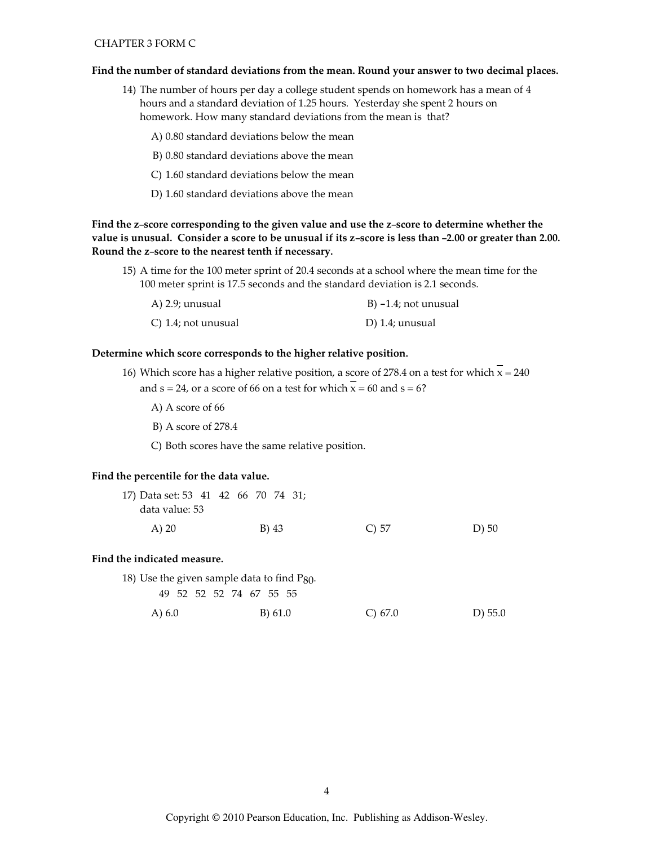## **CHAPTER 3 FORM C**

#### Find the number of standard deviations from the mean. Round your answer to two decimal places.

14) The number of hours per day a college student spends on homework has a mean of 4 hours and a standard deviation of 1.25 hours. Yesterday she spent 2 hours on homework. How many standard deviations from the mean is that?

A) 0.80 standard deviations below the mean

- B) 0.80 standard deviations above the mean
- C) 1.60 standard deviations below the mean
- D) 1.60 standard deviations above the mean

Find the z-score corresponding to the given value and use the z-score to determine whether the value is unusual. Consider a score to be unusual if its z-score is less than -2.00 or greater than 2.00. Round the z-score to the nearest tenth if necessary.

15) A time for the 100 meter sprint of 20.4 seconds at a school where the mean time for the 100 meter sprint is 17.5 seconds and the standard deviation is 2.1 seconds.

| A) 2.9; unusual     | B) $-1.4$ ; not unusual |
|---------------------|-------------------------|
| C) 1.4; not unusual | D) 1.4; unusual         |

#### Determine which score corresponds to the higher relative position.

- 16) Which score has a higher relative position, a score of 278.4 on a test for which  $\overline{x}$  = 240 and  $s = 24$ , or a score of 66 on a test for which  $\overline{x} = 60$  and  $s = 6$ ?
	- A) A score of 66
	- B) A score of 278.4
	- C) Both scores have the same relative position.

### Find the percentile for the data value.

| 17) Data set: 53 41 42 66 70 74 31; |  |  |       |  |          |          |
|-------------------------------------|--|--|-------|--|----------|----------|
| data value: 53                      |  |  |       |  |          |          |
| A) 20                               |  |  | B) 43 |  | $C$ ) 57 | $D$ ) 50 |

### Find the indicated measure.

18) Use the given sample data to find  $P_{80}$ .

49 52 52 52 74 67 55 55

| A) 6.0 | B) 61.0 | C) 67.0 | $D)$ 55.0 |
|--------|---------|---------|-----------|
|        |         |         |           |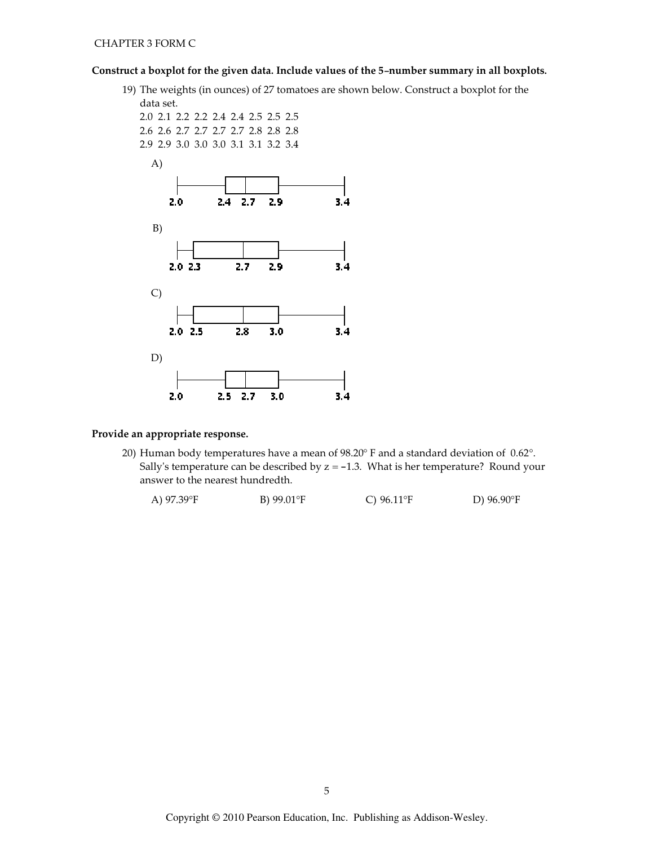# Construct a boxplot for the given data. Include values of the 5-number summary in all boxplots.

19) The weights (in ounces) of 27 tomatoes are shown below. Construct a boxplot for the



# Provide an appropriate response.

20) Human body temperatures have a mean of 98.20° F and a standard deviation of 0.62°. Sally's temperature can be described by  $z = -1.3$ . What is her temperature? Round your answer to the nearest hundredth.

| A) 97.39°F | B) $99.01^{\circ}F$ | C) $96.11^{\circ}F$ | D) $96.90^{\circ}F$ |
|------------|---------------------|---------------------|---------------------|
|            |                     |                     |                     |